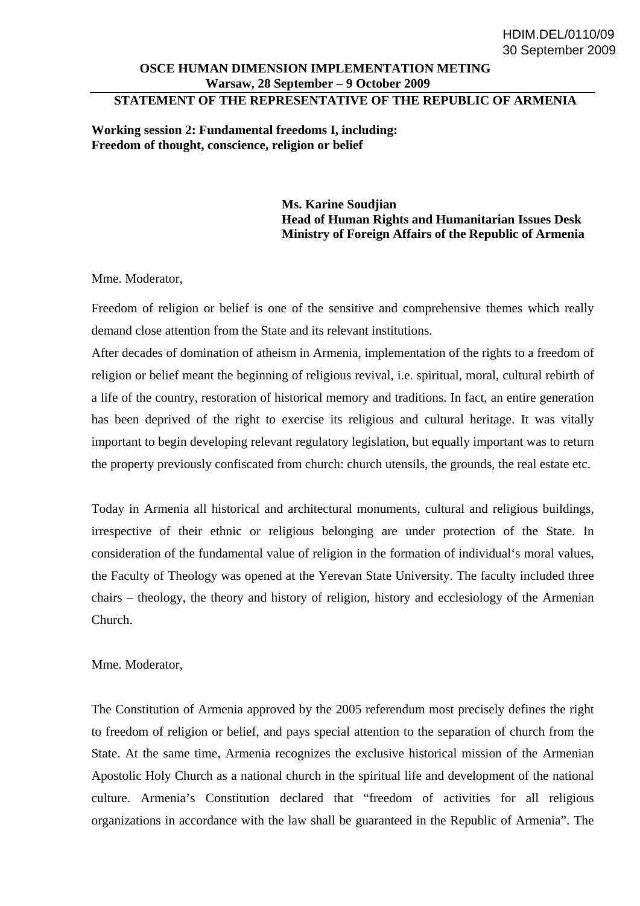## **OSCE HUMAN DIMENSION IMPLEMENTATION METING Warsaw, 28 September – 9 October 2009**

## **STATEMENT OF THE REPRESENTATIVE OF THE REPUBLIC OF ARMENIA**

**Working session 2: Fundamental freedoms I, including: Freedom of thought, conscience, religion or belief** 

> **Ms. Karine Soudjian Head of Human Rights and Humanitarian Issues Desk Ministry of Foreign Affairs of the Republic of Armenia**

Mme. Moderator,

Freedom of religion or belief is one of the sensitive and comprehensive themes which really demand close attention from the State and its relevant institutions.

After decades of domination of atheism in Armenia, implementation of the rights to a freedom of religion or belief meant the beginning of religious revival, i.e. spiritual, moral, cultural rebirth of a life of the country, restoration of historical memory and traditions. In fact, an entire generation has been deprived of the right to exercise its religious and cultural heritage. It was vitally important to begin developing relevant regulatory legislation, but equally important was to return the property previously confiscated from church: church utensils, the grounds, the real estate etc.

Today in Armenia all historical and architectural monuments, cultural and religious buildings, irrespective of their ethnic or religious belonging are under protection of the State. In consideration of the fundamental value of religion in the formation of individual's moral values, the Faculty of Theology was opened at the Yerevan State University. The faculty included three chairs – theology, the theory and history of religion, history and ecclesiology of the Armenian Church.

Mme. Moderator,

The Constitution of Armenia approved by the 2005 referendum most precisely defines the right to freedom of religion or belief, and pays special attention to the separation of church from the State. At the same time, Armenia recognizes the exclusive historical mission of the Armenian Apostolic Holy Church as a national church in the spiritual life and development of the national culture. Armenia's Constitution declared that "freedom of activities for all religious organizations in accordance with the law shall be guaranteed in the Republic of Armenia". The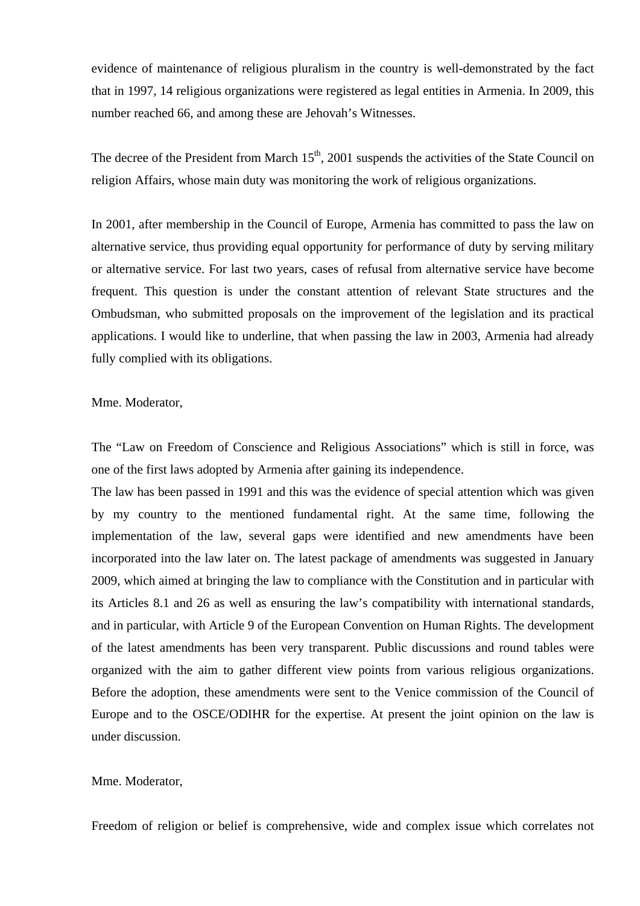evidence of maintenance of religious pluralism in the country is well-demonstrated by the fact that in 1997, 14 religious organizations were registered as legal entities in Armenia. In 2009, this number reached 66, and among these are Jehovah's Witnesses.

The decree of the President from March  $15<sup>th</sup>$ , 2001 suspends the activities of the State Council on religion Affairs, whose main duty was monitoring the work of religious organizations.

In 2001, after membership in the Council of Europe, Armenia has committed to pass the law on alternative service, thus providing equal opportunity for performance of duty by serving military or alternative service. For last two years, cases of refusal from alternative service have become frequent. This question is under the constant attention of relevant State structures and the Ombudsman, who submitted proposals on the improvement of the legislation and its practical applications. I would like to underline, that when passing the law in 2003, Armenia had already fully complied with its obligations.

## Mme. Moderator,

The "Law on Freedom of Conscience and Religious Associations" which is still in force, was one of the first laws adopted by Armenia after gaining its independence.

The law has been passed in 1991 and this was the evidence of special attention which was given by my country to the mentioned fundamental right. At the same time, following the implementation of the law, several gaps were identified and new amendments have been incorporated into the law later on. The latest package of amendments was suggested in January 2009, which aimed at bringing the law to compliance with the Constitution and in particular with its Articles 8.1 and 26 as well as ensuring the law's compatibility with international standards, and in particular, with Article 9 of the European Convention on Human Rights. The development of the latest amendments has been very transparent. Public discussions and round tables were organized with the aim to gather different view points from various religious organizations. Before the adoption, these amendments were sent to the Venice commission of the Council of Europe and to the OSCE/ODIHR for the expertise. At present the joint opinion on the law is under discussion.

## Mme. Moderator,

Freedom of religion or belief is comprehensive, wide and complex issue which correlates not